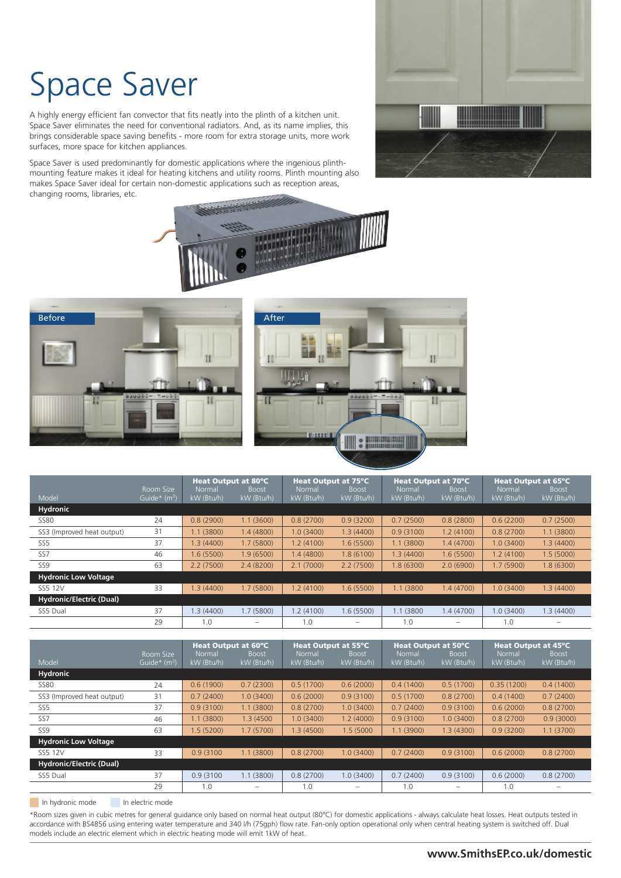# Space Saver

A highly energy efficient fan convector that fits neatly into the plinth of a kitchen unit. Space Saver eliminates the need for conventional radiators. And, as its name implies, this brings considerable space saving benefits - more room for extra storage units, more work surfaces, more space for kitchen appliances.

Space Saver is used predominantly for domestic applications where the ingenious plinthmounting feature makes it ideal for heating kitchens and utility rooms. Plinth mounting also makes Space Saver ideal for certain non-domestic applications such as reception areas, changing rooms, libraries, etc.









|                                 | Room Size                | Heat Output at 80°C<br>Normal<br><b>Boost</b> |            | Heat Output at 75°C<br>Normal<br><b>Boost</b> |            | Heat Output at 70°C<br>Normal<br><b>Boost</b> |            | Heat Output at 65°C<br>Normal<br><b>Boost</b> |            |
|---------------------------------|--------------------------|-----------------------------------------------|------------|-----------------------------------------------|------------|-----------------------------------------------|------------|-----------------------------------------------|------------|
| Model                           | Guide* (m <sup>3</sup> ) | kW (Btu/h)                                    | kW (Btu/h) | kW (Btu/h)                                    | kW (Btu/h) | kW (Btu/h)                                    | kW (Btu/h) | kW (Btu/h)                                    | kW (Btu/h) |
| <b>Hydronic</b>                 |                          |                                               |            |                                               |            |                                               |            |                                               |            |
| <b>SS80</b>                     | 24                       | 0.8(2900)                                     | 1.1(3600)  | 0.8(2700)                                     | 0.9(3200)  | 0.7(2500)                                     | 0.8(2800)  | 0.6(2200)                                     | 0.7(2500)  |
| SS3 (Improved heat output)      | 31                       | 1.1(3800)                                     | 1.4(4800)  | 1.0(3400)                                     | 1.3(4400)  | 0.9(3100)                                     | 1.2(4100)  | 0.8(2700)                                     | 1.1(3800)  |
| SS <sub>5</sub>                 | 37                       | 1.3(4400)                                     | 1.7(5800)  | 1.2(4100)                                     | 1.6(5500)  | 1.1(3800)                                     | 1.4(4700)  | 1.0(3400)                                     | 1.3(4400)  |
| SS7                             | 46                       | 1.6 (5500)                                    | 1.9(6500)  | 1.4(4800)                                     | 1.8(6100)  | 1.3(4400)                                     | 1.6(5500)  | 1.2(4100)                                     | 1.5(5000)  |
| SS <sub>9</sub>                 | 63                       | 2.2(7500)                                     | 2.4(8200)  | 2.1(7000)                                     | 2.2(7500)  | 8 (6300)                                      | 2.0(6900)  | 1.7(5900)                                     | 1.8 (6300) |
| <b>Hydronic Low Voltage</b>     |                          |                                               |            |                                               |            |                                               |            |                                               |            |
| SS5 12V                         | 33                       | 1.3(4400)                                     | 1.7(5800)  | 1.2(4100)                                     | 1.6(5500)  | 1.1 (3800)                                    | 1.4(4700)  | 1.0(3400)                                     | 1.3(4400)  |
| <b>Hydronic/Electric (Dual)</b> |                          |                                               |            |                                               |            |                                               |            |                                               |            |
| SS5 Dual                        | 37                       | 1.3(4400)                                     | 1.7(5800)  | 1.2(4100)                                     | 1.6(5500)  | 1.1 (3800)                                    | 1.4(4700)  | 1.0(3400)                                     | 1.3 (4400) |
|                                 | 29                       | 1.0                                           |            | 1.0                                           | -          | 1.0                                           |            | 1.0                                           |            |

|                                 |                                  | Heat Output at 60°C  |                            | Heat Output at 55°C  |                            | Heat Output at 50°C  |                            | Heat Output at 45°C  |                            |
|---------------------------------|----------------------------------|----------------------|----------------------------|----------------------|----------------------------|----------------------|----------------------------|----------------------|----------------------------|
| Model                           | Room Size<br>Guide $*$ ( $m^3$ ) | Normal<br>kW (Btu/h) | <b>Boost</b><br>kW (Btu/h) | Normal<br>kW (Btu/h) | <b>Boost</b><br>kW (Btu/h) | Normal<br>kW (Btu/h) | <b>Boost</b><br>kW (Btu/h) | Normal<br>kW (Btu/h) | <b>Boost</b><br>kW (Btu/h) |
| Hydronic                        |                                  |                      |                            |                      |                            |                      |                            |                      |                            |
| <b>SS80</b>                     | 24                               | 0.6(1900)            | 0.7(2300)                  | 0.5(1700)            | 0.6(2000)                  | 0.4(1400)            | 0.5(1700)                  | 0.35(1200)           | 0.4(1400)                  |
| SS3 (Improved heat output)      | 31                               | 0.7(2400)            | 1.0(3400)                  | 0.6(2000)            | 0.9(3100)                  | 0.5(1700)            | 0.8(2700)                  | 0.4(1400)            | 0.7(2400)                  |
| SS <sub>5</sub>                 | 37                               | 0.9(3100)            | 1.1(3800)                  | 0.8(2700)            | 1.0(3400)                  | 0.7(2400)            | 0.9(3100)                  | 0.6(2000)            | 0.8(2700)                  |
| SS7                             | 46                               | 1.1(3800)            | 1.3 (4500)                 | 1.0(3400)            | 1.2(4000)                  | 0.9(3100)            | 1.0(3400)                  | 0.8(2700)            | 0.9(3000)                  |
| SS <sub>9</sub>                 | 63                               | 1.5(5200)            | 1.7(5700)                  | 1.3(4500)            | 1.5 (5000                  | 1.1(3900)            | 1.3(4300)                  | 0.9(3200)            | 1.1(3700)                  |
| <b>Hydronic Low Voltage</b>     |                                  |                      |                            |                      |                            |                      |                            |                      |                            |
| SS5 12V                         | 33                               | 0.9(3100)            | 1.1(3800)                  | 0.8(2700)            | 1.0(3400)                  | 0.7(2400)            | 0.9(3100)                  | 0.6(2000)            | 0.8(2700)                  |
| <b>Hydronic/Electric (Dual)</b> |                                  |                      |                            |                      |                            |                      |                            |                      |                            |
| SS5 Dual                        | 37                               | 0.9(3100)            | 1.1(3800)                  | 0.8(2700)            | 1.0(3400)                  | 0.7(2400)            | 0.9(3100)                  | 0.6(2000)            | 0.8(2700)                  |
|                                 | 29                               | 1.0                  |                            | 1.0                  | -                          | 1.0                  |                            | 1.0                  |                            |

In hydronic mode In electric mode

\*Room sizes given in cubic metres for general guidance only based on normal heat output (80ºC) for domestic applications - always calculate heat losses. Heat outputs tested in accordance with BS4856 using entering water temperature and 340 l/h (75gph) flow rate. Fan-only option operational only when central heating system is switched off. Dual models include an electric element which in electric heating mode will emit 1kW of heat.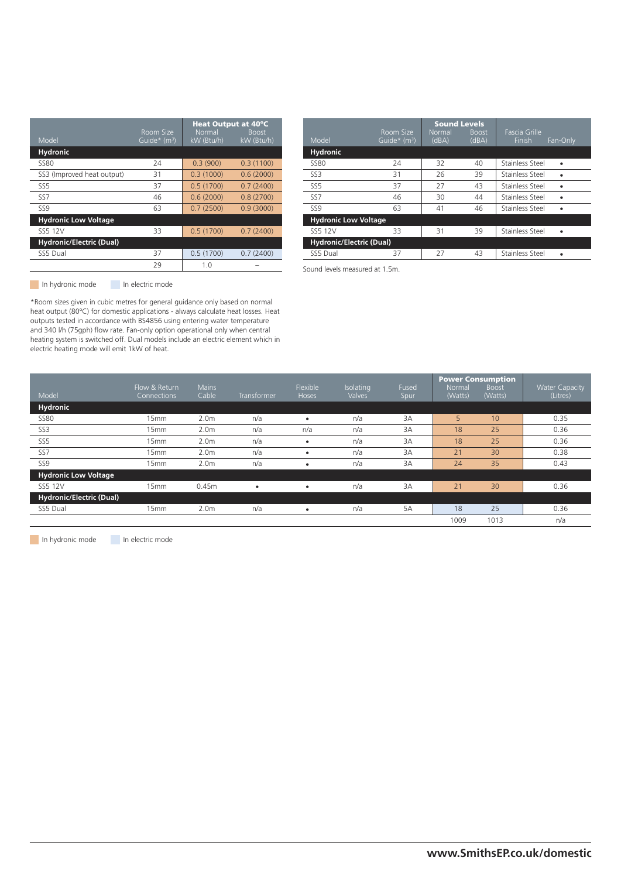| Model                           | Room Size<br>Guide* (m <sup>3</sup> ) | Heat Output at 40°C<br>Normal<br>kW (Btu/h) | <b>Boost</b><br>kW (Btu/h) |
|---------------------------------|---------------------------------------|---------------------------------------------|----------------------------|
| <b>Hydronic</b>                 |                                       |                                             |                            |
| <b>SS80</b>                     | 24                                    | 0.3(900)                                    | 0.3(1100)                  |
| SS3 (Improved heat output)      | 31                                    | 0.3(1000)                                   | 0.6(2000)                  |
| SS <sub>5</sub>                 | 37                                    | 0.5(1700)                                   | 0.7(2400)                  |
| SS <sub>7</sub>                 | 46                                    | 0.6(2000)                                   | 0.8(2700)                  |
| <b>SS9</b>                      | 63                                    | 0.7(2500)                                   | 0.9(3000)                  |
| <b>Hydronic Low Voltage</b>     |                                       |                                             |                            |
| SS5 12V                         | 33                                    | 0.5(1700)                                   | 0.7(2400)                  |
| <b>Hydronic/Electric (Dual)</b> |                                       |                                             |                            |
| SS5 Dual                        | 37                                    | 0.5(1700)                                   | 0.7(2400)                  |
|                                 | 29                                    | 1.0                                         |                            |
|                                 |                                       |                                             |                            |

| Model                           | Room Size<br>Guide $*$ (m <sup>3</sup> ) | <b>Sound Levels</b><br><b>Normal</b><br>(dBA) | <b>Boost</b><br>(dBA) | Fascia Grille<br><b>Finish</b><br>Fan-Only |
|---------------------------------|------------------------------------------|-----------------------------------------------|-----------------------|--------------------------------------------|
| <b>Hydronic</b>                 |                                          |                                               |                       |                                            |
| <b>SS80</b>                     | 24                                       | 32                                            | 40                    | Stainless Steel                            |
| SS <sub>3</sub>                 | 31                                       | 26                                            | 39                    | Stainless Steel                            |
| SS <sub>5</sub>                 | 37                                       | 27                                            | 43                    | Stainless Steel                            |
| SS <sub>7</sub>                 | 46                                       | 30                                            | 44                    | Stainless Steel                            |
| SS <sub>9</sub>                 | 63                                       | 41                                            | 46                    | Stainless Steel                            |
| <b>Hydronic Low Voltage</b>     |                                          |                                               |                       |                                            |
| SS5 12V                         | 33                                       | 31                                            | 39                    | Stainless Steel                            |
| <b>Hydronic/Electric (Dual)</b> |                                          |                                               |                       |                                            |
| SS5 Dual                        | 37                                       | 27                                            | 43                    | Stainless Steel                            |

Sound levels measured at 1.5m.

In hydronic mode In electric mode

\*Room sizes given in cubic metres for general guidance only based on normal heat output (80ºC) for domestic applications - always calculate heat losses. Heat outputs tested in accordance with BS4856 using entering water temperature and 340 l/h (75gph) flow rate. Fan-only option operational only when central heating system is switched off. Dual models include an electric element which in electric heating mode will emit 1kW of heat.

| Model                           | Flow & Return<br>Connections | <b>Mains</b><br>Cable | Transformer | Flexible<br>Hoses | Isolating<br>Valves | Fused<br>Spur | Normal<br>(Watts) | <b>Power Consumption</b><br><b>Boost</b><br>(Watts) | <b>Water Capacity</b><br>(Litres) |
|---------------------------------|------------------------------|-----------------------|-------------|-------------------|---------------------|---------------|-------------------|-----------------------------------------------------|-----------------------------------|
| <b>Hydronic</b>                 |                              |                       |             |                   |                     |               |                   |                                                     |                                   |
| <b>SS80</b>                     | 15mm                         | 2.0 <sub>m</sub>      | n/a         |                   | n/a                 | 3A            | 5                 | 10                                                  | 0.35                              |
| SS3                             | 15mm                         | 2.0 <sub>m</sub>      | n/a         | n/a               | n/a                 | 3A            | 18                | 25                                                  | 0.36                              |
| SS <sub>5</sub>                 | 15mm                         | 2.0 <sub>m</sub>      | n/a         |                   | n/a                 | 3A            | 18                | 25                                                  | 0.36                              |
| SS <sub>7</sub>                 | 15mm                         | 2.0 <sub>m</sub>      | n/a         |                   | n/a                 | 3A            | 21                | 30 <sup>°</sup>                                     | 0.38                              |
| SS <sub>9</sub>                 | 15mm                         | 2.0 <sub>m</sub>      | n/a         |                   | n/a                 | 3A            | 24                | 35                                                  | 0.43                              |
| <b>Hydronic Low Voltage</b>     |                              |                       |             |                   |                     |               |                   |                                                     |                                   |
| SS5 12V                         | 15mm                         | 0.45m                 | ٠           |                   | n/a                 | 3A            | 21                | 30                                                  | 0.36                              |
| <b>Hydronic/Electric (Dual)</b> |                              |                       |             |                   |                     |               |                   |                                                     |                                   |
| SS5 Dual                        | 15mm                         | 2.0 <sub>m</sub>      | n/a         | ٠                 | n/a                 | 5A            | 18                | 25                                                  | 0.36                              |
|                                 |                              |                       |             |                   |                     |               | 1009              | 1013                                                | n/a                               |

In hydronic mode In electric mode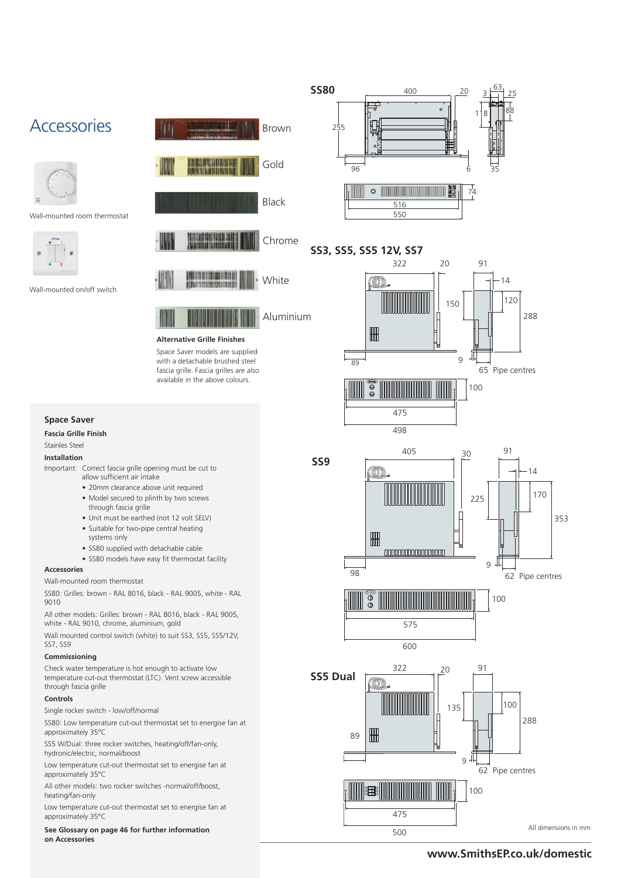



Wall-mounted room thermostat



Wall-mounted on/off switch



Aluminium

#### **Alternative Grille Finishes**

Space Saver models are supplied with a detachable brushed steel fascia grille. Fascia grilles are also available in the above colours.

## **Space Saver**

#### **Fascia Grille Finish**

Stainles Steel

#### **Installation**

- Important: Correct fascia grille opening must be cut to allow sufficient air intake
	- 20mm clearance above unit required
	- Model secured to plinth by two screws through fascia grille
	- Unit must be earthed (not 12 volt SELV)
	- Suitable for two-pipe central heating systems only
	- SS80 supplied with detachable cable
	- SS80 models have easy fit thermostat facility

#### **Accessories**

Wall-mounted room thermostat

SS80: Grilles: brown - RAL 8016, black - RAL 9005, white - RAL 9010

All other models: Grilles: brown - RAL 8016, black - RAL 9005, white - RAL 9010, chrome, aluminium, gold

Wall mounted control switch (white) to suit SS3, SS5, SS5/12V, SS7, SS9

## **Commissioning**

Check water temperature is hot enough to activate low temperature cut-out thermostat (LTC). Vent screw accessible through fascia grille

#### **Controls**

Single rocker switch - low/off/normal

SS80: Low temperature cut-out thermostat set to energise fan at approximately 35°C

SS5 W/Dual: three rocker switches, heating/off/fan-only, hydronic/electric, normal/boost

Low temperature cut-out thermostat set to energise fan at approximately 35°C

All other models: two rocker switches -normal/off/boost, heating/fan-only

Low temperature cut-out thermostat set to energise fan at approximately 35°C

**See Glossary on page 46 for further information on Accessories**



# **SS3, SS5, SS5 12V, SS7**



**SS9**



91